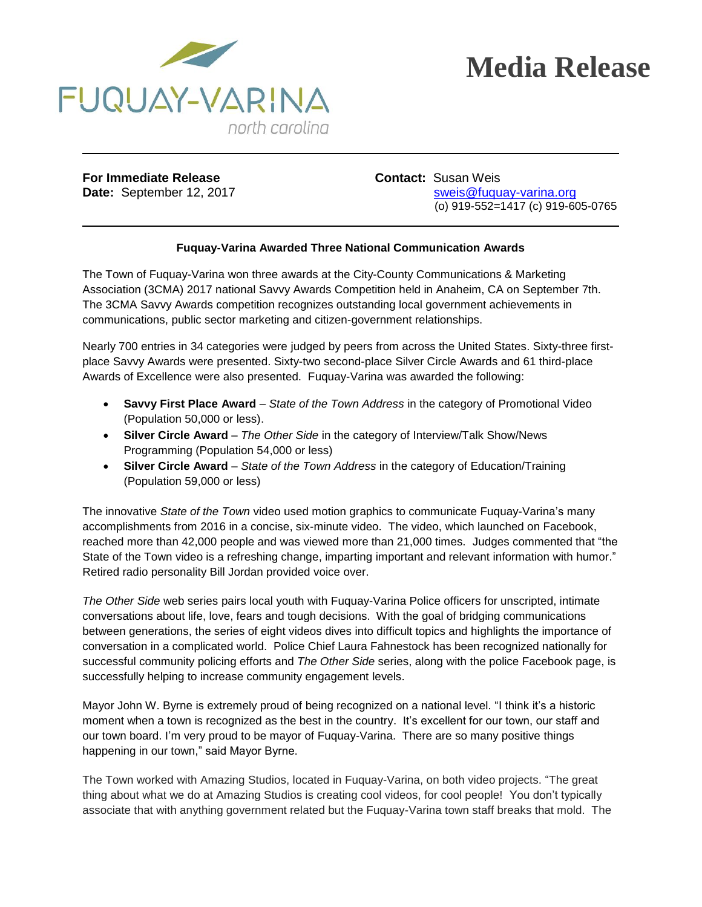

## **Media Release**

**For Immediate Release <b>Contact:** Susan Weis

**Date:** September 12, 2017 state: [sweis@fuquay-varina.org](mailto:sweis@fuquay-varina.org) (o) 919-552=1417 (c) 919-605-0765

## **Fuquay-Varina Awarded Three National Communication Awards**

The Town of Fuquay-Varina won three awards at the City-County Communications & Marketing Association (3CMA) 2017 national Savvy Awards Competition held in Anaheim, CA on September 7th. The 3CMA Savvy Awards competition recognizes outstanding local government achievements in communications, public sector marketing and citizen-government relationships.

Nearly 700 entries in 34 categories were judged by peers from across the United States. Sixty-three firstplace Savvy Awards were presented. Sixty-two second-place Silver Circle Awards and 61 third-place Awards of Excellence were also presented. Fuquay-Varina was awarded the following:

- **Savvy First Place Award** *State of the Town Address* in the category of Promotional Video (Population 50,000 or less).
- **Silver Circle Award** *The Other Side* in the category of Interview/Talk Show/News Programming (Population 54,000 or less)
- **Silver Circle Award** *State of the Town Address* in the category of Education/Training (Population 59,000 or less)

The innovative *State of the Town* video used motion graphics to communicate Fuquay-Varina's many accomplishments from 2016 in a concise, six-minute video. The video, which launched on Facebook, reached more than 42,000 people and was viewed more than 21,000 times. Judges commented that "the State of the Town video is a refreshing change, imparting important and relevant information with humor." Retired radio personality Bill Jordan provided voice over.

*The Other Side* web series pairs local youth with Fuquay-Varina Police officers for unscripted, intimate conversations about life, love, fears and tough decisions. With the goal of bridging communications between generations, the series of eight videos dives into difficult topics and highlights the importance of conversation in a complicated world. Police Chief Laura Fahnestock has been recognized nationally for successful community policing efforts and *The Other Side* series, along with the police Facebook page, is successfully helping to increase community engagement levels.

Mayor John W. Byrne is extremely proud of being recognized on a national level. "I think it's a historic moment when a town is recognized as the best in the country. It's excellent for our town, our staff and our town board. I'm very proud to be mayor of Fuquay-Varina. There are so many positive things happening in our town," said Mayor Byrne.

The Town worked with Amazing Studios, located in Fuquay-Varina, on both video projects. "The great thing about what we do at Amazing Studios is creating cool videos, for cool people! You don't typically associate that with anything government related but the Fuquay-Varina town staff breaks that mold. The